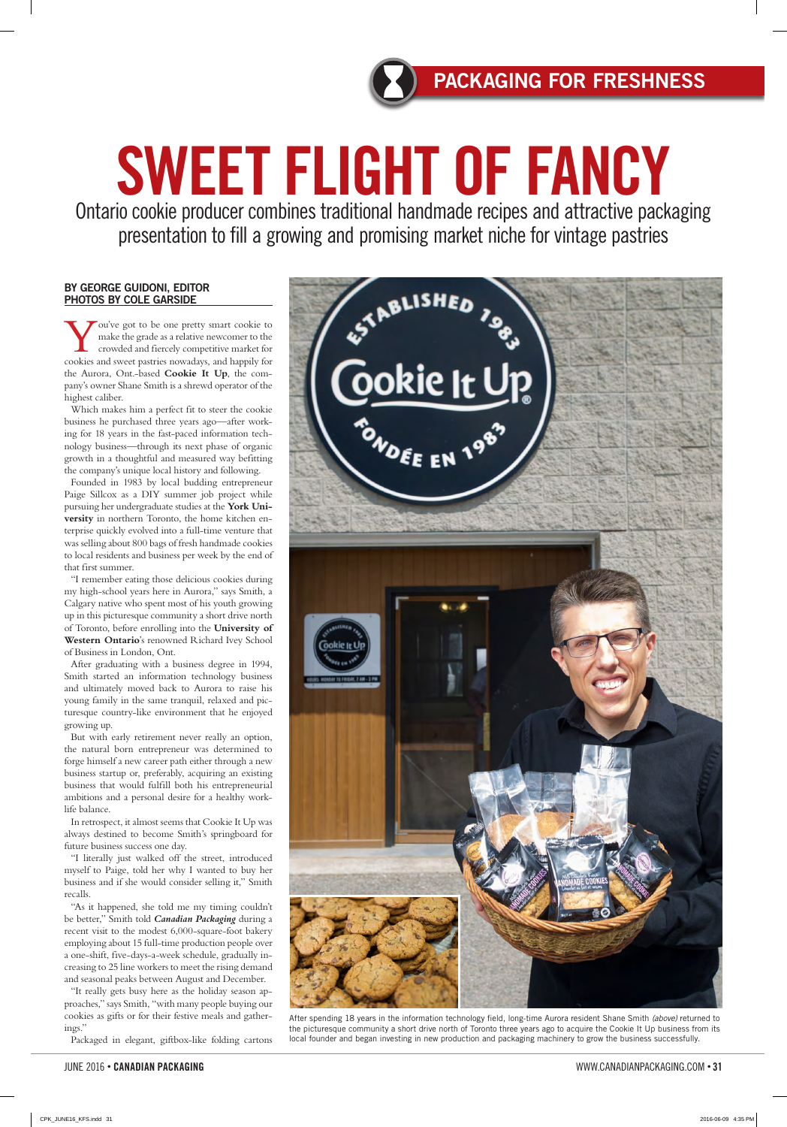## BY GEORGE GUIDONI, EDITOR PHOTOS BY COLE GARSIDE

Vou've got to be one pretty smart cookie to<br>make the grade as a relative newcomer to the<br>crowded and fiercely competitive market for<br>cookies and sweet pastries nowadays, and happily for make the grade as a relative newcomer to the crowded and fiercely competitive market for cookies and sweet pastries nowadays, and happily for the Aurora, Ont.-based **Cookie It Up**, the company's owner Shane Smith is a shrewd operator of the highest caliber.

Which makes him a perfect fit to steer the cookie business he purchased three years ago—after working for 18 years in the fast-paced information technology business—through its next phase of organic growth in a thoughtful and measured way befitting the company's unique local history and following.

Founded in 1983 by local budding entrepreneur Paige Sillcox as a DIY summer job project while pursuing her undergraduate studies at the **York University** in northern Toronto, the home kitchen enterprise quickly evolved into a full-time venture that was selling about 800 bags of fresh handmade cookies to local residents and business per week by the end of that first summer.

"I remember eating those delicious cookies during my high-school years here in Aurora," says Smith, a Calgary native who spent most of his youth growing up in this picturesque community a short drive north of Toronto, before enrolling into the **University of Western Ontario**'s renowned Richard Ivey School of Business in London, Ont.

After graduating with a business degree in 1994, Smith started an information technology business and ultimately moved back to Aurora to raise his young family in the same tranquil, relaxed and picturesque country-like environment that he enjoyed growing up.

But with early retirement never really an option, the natural born entrepreneur was determined to forge himself a new career path either through a new business startup or, preferably, acquiring an existing business that would fulfill both his entrepreneurial ambitions and a personal desire for a healthy worklife balance.

In retrospect, it almost seems that Cookie It Up was always destined to become Smith's springboard for



future business success one day.

"I literally just walked off the street, introduced myself to Paige, told her why I wanted to buy her business and if she would consider selling it," Smith recalls.

"As it happened, she told me my timing couldn't be better," Smith told *Canadian Packaging* during a recent visit to the modest 6,000-square-foot bakery employing about 15 full-time production people over a one-shift, five-days-a-week schedule, gradually increasing to 25 line workers to meet the rising demand and seasonal peaks between August and December.

"It really gets busy here as the holiday season approaches," says Smith, "with many people buying our cookies as gifts or for their festive meals and gatherings."

Packaged in elegant, giftbox-like folding cartons

## JUNE 2016 • CANADIAN PACKAGING WWW.CANADIANPACKAGING.COM • 31

# SWEET FLIGHT OF FANCY Ontario cookie producer combines traditional handmade recipes and attractive packaging

presentation to fill a growing and promising market niche for vintage pastries

After spending 18 years in the information technology field, long-time Aurora resident Shane Smith *(above)* returned to the picturesque community a short drive north of Toronto three years ago to acquire the Cookie It Up business from its local founder and began investing in new production and packaging machinery to grow the business successfully.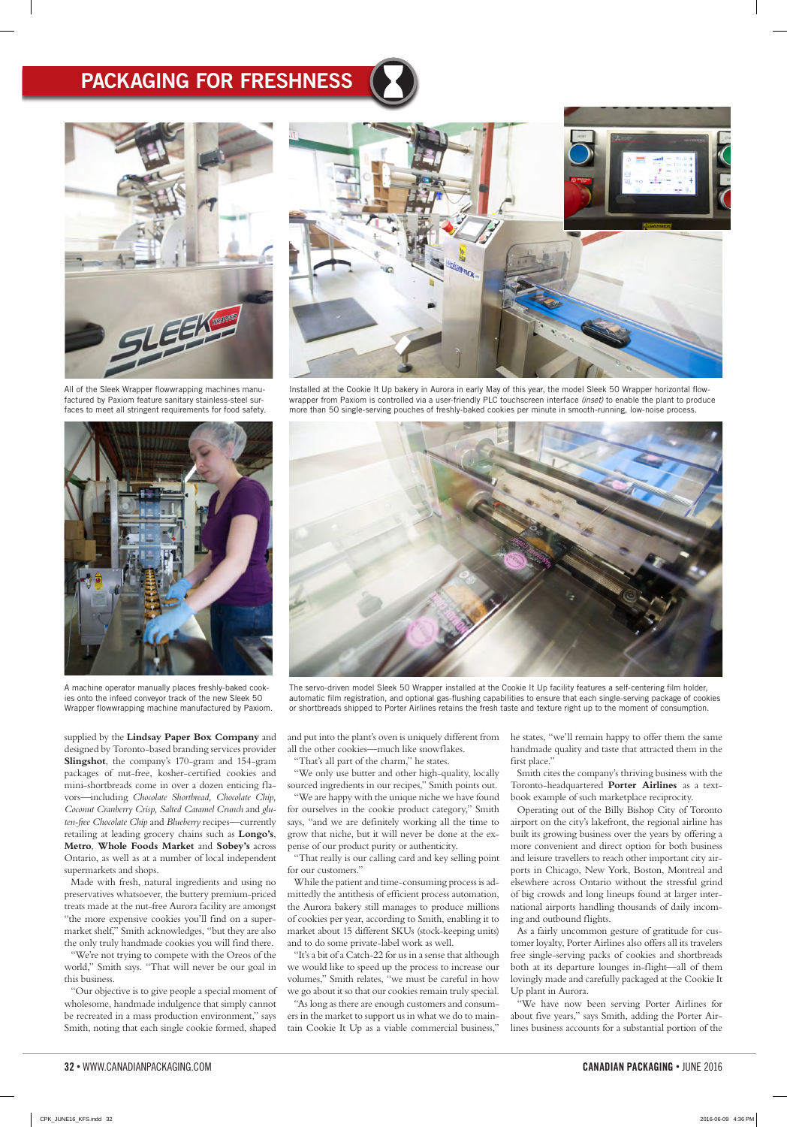## 32 • WWW.CANADIANPACKAGING.COM CANADIAN PACKAGING • JUNE 2016

supplied by the **Lindsay Paper Box Company** and designed by Toronto-based branding services provider **Slingshot**, the company's 170-gram and 154-gram packages of nut-free, kosher-certified cookies and mini-shortbreads come in over a dozen enticing flavors—including *Chocolate Shortbread, Chocolate Chip, Coconut Cranberry Crisp, Salted Caramel Crunch* and *gluten-free Chocolate Chip* and *Blueberry* recipes—currently retailing at leading grocery chains such as **Longo's**,

**Metro**, **Whole Foods Market** and **Sobey's** across Ontario, as well as at a number of local independent supermarkets and shops.

Made with fresh, natural ingredients and using no preservatives whatsoever, the buttery premium-priced treats made at the nut-free Aurora facility are amongst "the more expensive cookies you'll find on a supermarket shelf," Smith acknowledges, "but they are also the only truly handmade cookies you will find there.

"We're not trying to compete with the Oreos of the world," Smith says. "That will never be our goal in this business.

"Our objective is to give people a special moment of wholesome, handmade indulgence that simply cannot be recreated in a mass production environment," says Smith, noting that each single cookie formed, shaped

he states, "we'll remain happy to offer them the same handmade quality and taste that attracted them in the first place."

and put into the plant's oven is uniquely different from all the other cookies—much like snowflakes.

"That's all part of the charm," he states.

"We only use butter and other high-quality, locally sourced ingredients in our recipes," Smith points out.

"We are happy with the unique niche we have found for ourselves in the cookie product category," Smith says, "and we are definitely working all the time to grow that niche, but it will never be done at the ex-

pense of our product purity or authenticity. "That really is our calling card and key selling point for our customers."

While the patient and time-consuming process is admittedly the antithesis of efficient process automation, the Aurora bakery still manages to produce millions of cookies per year, according to Smith, enabling it to market about 15 different SKUs (stock-keeping units) and to do some private-label work as well.

"It's a bit of a Catch-22 for us in a sense that although we would like to speed up the process to increase our volumes," Smith relates, "we must be careful in how we go about it so that our cookies remain truly special. "As long as there are enough customers and consumers in the market to support us in what we do to maintain Cookie It Up as a viable commercial business,"

Smith cites the company's thriving business with the Toronto-headquartered **Porter Airlines** as a textbook example of such marketplace reciprocity.

Operating out of the Billy Bishop City of Toronto airport on the city's lakefront, the regional airline has built its growing business over the years by offering a more convenient and direct option for both business and leisure travellers to reach other important city airports in Chicago, New York, Boston, Montreal and elsewhere across Ontario without the stressful grind of big crowds and long lineups found at larger international airports handling thousands of daily incoming and outbound flights. As a fairly uncommon gesture of gratitude for customer loyalty, Porter Airlines also offers all its travelers free single-serving packs of cookies and shortbreads both at its departure lounges in-flight—all of them lovingly made and carefully packaged at the Cookie It Up plant in Aurora.

"We have now been serving Porter Airlines for about five years," says Smith, adding the Porter Airlines business accounts for a substantial portion of the

## PACKAGING FOR FRESHNESS



A machine operator manually places freshly-baked cookies onto the infeed conveyor track of the new Sleek 50 Wrapper flowwrapping machine manufactured by Paxiom.



Installed at the Cookie It Up bakery in Aurora in early May of this year, the model Sleek 50 Wrapper horizontal flowwrapper from Paxiom is controlled via a user-friendly PLC touchscreen interface *(inset)* to enable the plant to produce more than 50 single-serving pouches of freshly-baked cookies per minute in smooth-running, low-noise process.



All of the Sleek Wrapper flowwrapping machines manufactured by Paxiom feature sanitary stainless-steel surfaces to meet all stringent requirements for food safety.



The servo-driven model Sleek 50 Wrapper installed at the Cookie It Up facility features a self-centering film holder, automatic film registration, and optional gas-flushing capabilities to ensure that each single-serving package of cookies or shortbreads shipped to Porter Airlines retains the fresh taste and texture right up to the moment of consumption.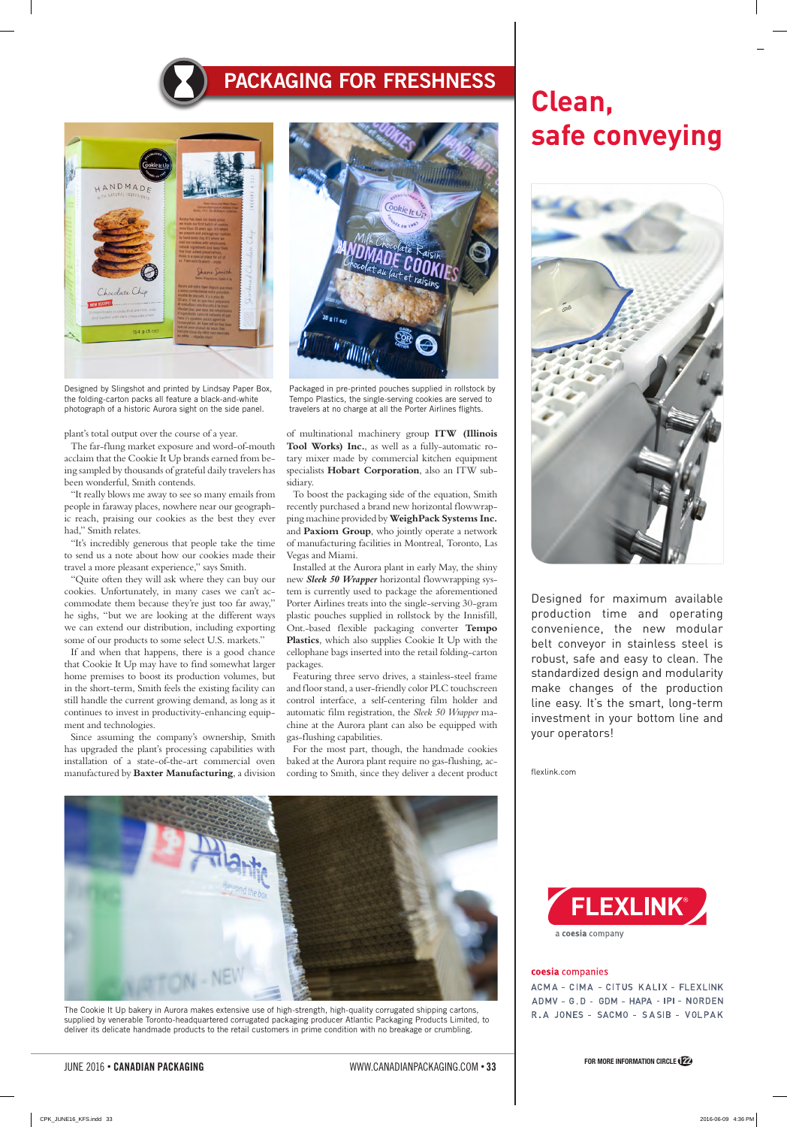## PACKAGING FOR FRESHNESS

## **Clean, safe conveying**



Designed for maximum available production time and operating convenience, the new modular belt conveyor in stainless steel is robust, safe and easy to clean. The standardized design and modularity make changes of the production line easy. It's the smart, long-term investment in your bottom line and your operators!

flexlink.com



CPKG\_Flexlink\_May.indd 1 WLX\_Canadien Packaging\_85x381\_update.indd 1 2016-05-04 15:40:56 2016-05-04 10:36 AM

plant's total output over the course of a year.

The far-flung market exposure and word-of-mouth acclaim that the Cookie It Up brands earned from being sampled by thousands of grateful daily travelers has been wonderful, Smith contends.

"It really blows me away to see so many emails from people in faraway places, nowhere near our geographic reach, praising our cookies as the best they ever had," Smith relates.

"It's incredibly generous that people take the time to send us a note about how our cookies made their travel a more pleasant experience," says Smith.

"Quite often they will ask where they can buy our cookies. Unfortunately, in many cases we can't accommodate them because they're just too far away," he sighs, "but we are looking at the different ways we can extend our distribution, including exporting some of our products to some select U.S. markets."

If and when that happens, there is a good chance that Cookie It Up may have to find somewhat larger home premises to boost its production volumes, but in the short-term, Smith feels the existing facility can still handle the current growing demand, as long as it continues to invest in productivity-enhancing equipment and technologies.

Since assuming the company's ownership, Smith has upgraded the plant's processing capabilities with installation of a state-of-the-art commercial oven manufactured by **Baxter Manufacturing**, a division

of multinational machinery group **ITW (Illinois Tool Works) Inc.**, as well as a fully-automatic rotary mixer made by commercial kitchen equipment specialists **Hobart Corporation**, also an ITW subsidiary.

To boost the packaging side of the equation, Smith recently purchased a brand new horizontal flowwrapping machine provided by **WeighPack Systems Inc.** and **Paxiom Group**, who jointly operate a network of manufacturing facilities in Montreal, Toronto, Las Vegas and Miami.

Installed at the Aurora plant in early May, the shiny new *Sleek 50 Wrapper* horizontal flowwrapping system is currently used to package the aforementioned Porter Airlines treats into the single-serving 30-gram plastic pouches supplied in rollstock by the Innisfill, Ont.-based flexible packaging converter **Tempo Plastics**, which also supplies Cookie It Up with the cellophane bags inserted into the retail folding-carton packages.

Featuring three servo drives, a stainless-steel frame and floor stand, a user-friendly color PLC touchscreen control interface, a self-centering film holder and automatic film registration, the *Sleek 50 Wrapper* machine at the Aurora plant can also be equipped with gas-flushing capabilities.

For the most part, though, the handmade cookies baked at the Aurora plant require no gas-flushing, according to Smith, since they deliver a decent product



Designed by Slingshot and printed by Lindsay Paper Box, the folding-carton packs all feature a black-and-white photograph of a historic Aurora sight on the side panel.



Packaged in pre-printed pouches supplied in rollstock by Tempo Plastics, the single-serving cookies are served to travelers at no charge at all the Porter Airlines flights.

The Cookie It Up bakery in Aurora makes extensive use of high-strength, high-quality corrugated shipping cartons, supplied by venerable Toronto-headquartered corrugated packaging producer Atlantic Packaging Products Limited, to deliver its delicate handmade products to the retail customers in prime condition with no breakage or crumbling.

### JUNE 2016 • CANADIAN PACKAGING WWW.CANADIANPACKAGING.COM • 33



a coesia company

### coesia companies

ACMA - CIMA - CITUS KALIX - FLEXLINK ADMV - G.D - GDM - HAPA - IPI - NORDEN R.A JONES - SACMO - SASIB - VOLPAK

FOR MORE INFORMATION CIRCLE **122**